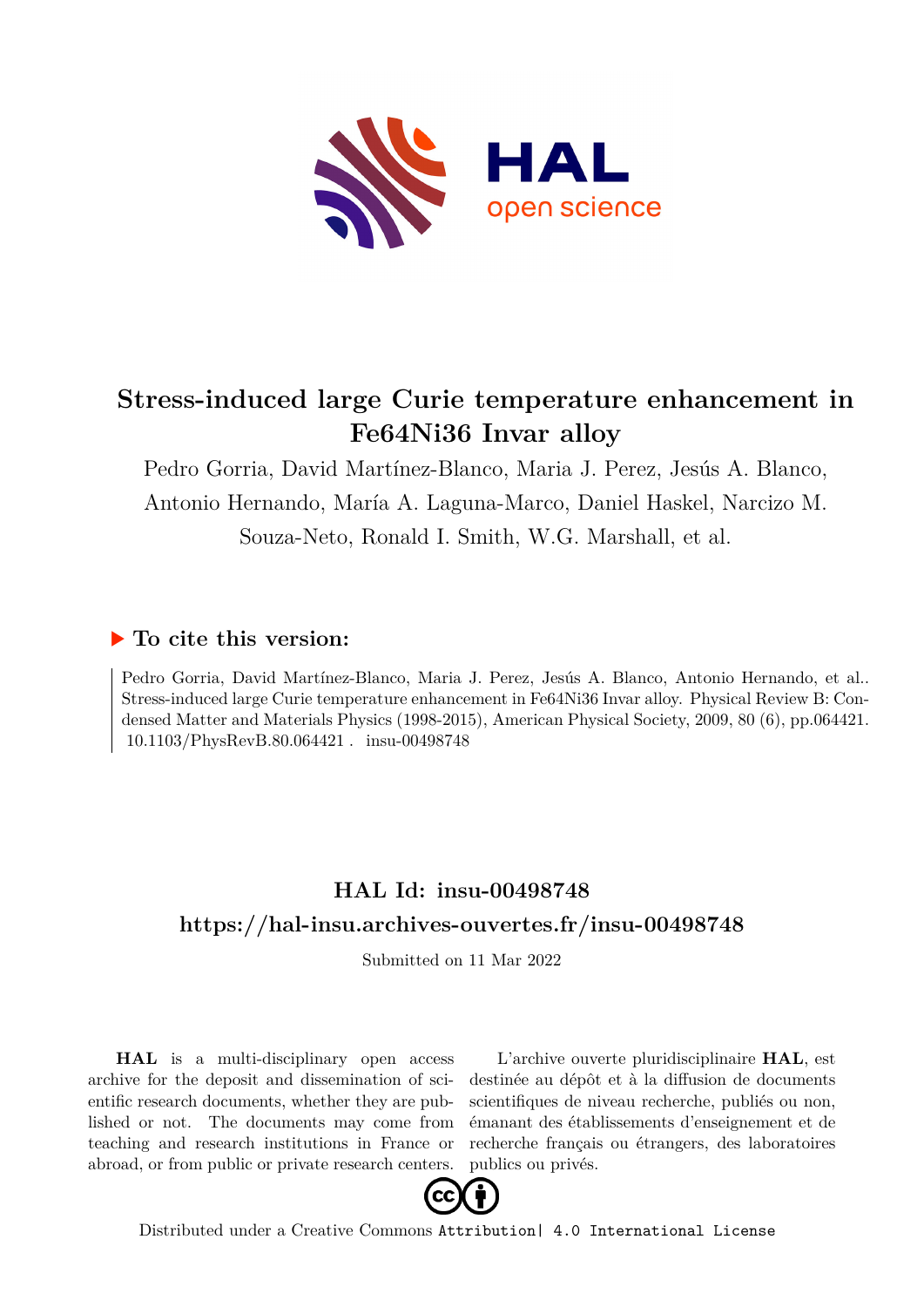

# **Stress-induced large Curie temperature enhancement in Fe64Ni36 Invar alloy**

Pedro Gorria, David Martínez-Blanco, Maria J. Perez, Jesús A. Blanco, Antonio Hernando, María A. Laguna-Marco, Daniel Haskel, Narcizo M. Souza-Neto, Ronald I. Smith, W.G. Marshall, et al.

### **To cite this version:**

Pedro Gorria, David Martínez-Blanco, Maria J. Perez, Jesús A. Blanco, Antonio Hernando, et al.. Stress-induced large Curie temperature enhancement in Fe64Ni36 Invar alloy. Physical Review B: Condensed Matter and Materials Physics (1998-2015), American Physical Society, 2009, 80 (6), pp.064421. 10.1103/PhysRevB.80.064421 . insu-00498748

## **HAL Id: insu-00498748 <https://hal-insu.archives-ouvertes.fr/insu-00498748>**

Submitted on 11 Mar 2022

**HAL** is a multi-disciplinary open access archive for the deposit and dissemination of scientific research documents, whether they are published or not. The documents may come from teaching and research institutions in France or abroad, or from public or private research centers.

L'archive ouverte pluridisciplinaire **HAL**, est destinée au dépôt et à la diffusion de documents scientifiques de niveau recherche, publiés ou non, émanant des établissements d'enseignement et de recherche français ou étrangers, des laboratoires publics ou privés.



Distributed under a Creative Commons [Attribution| 4.0 International License](http://creativecommons.org/licenses/by/4.0/)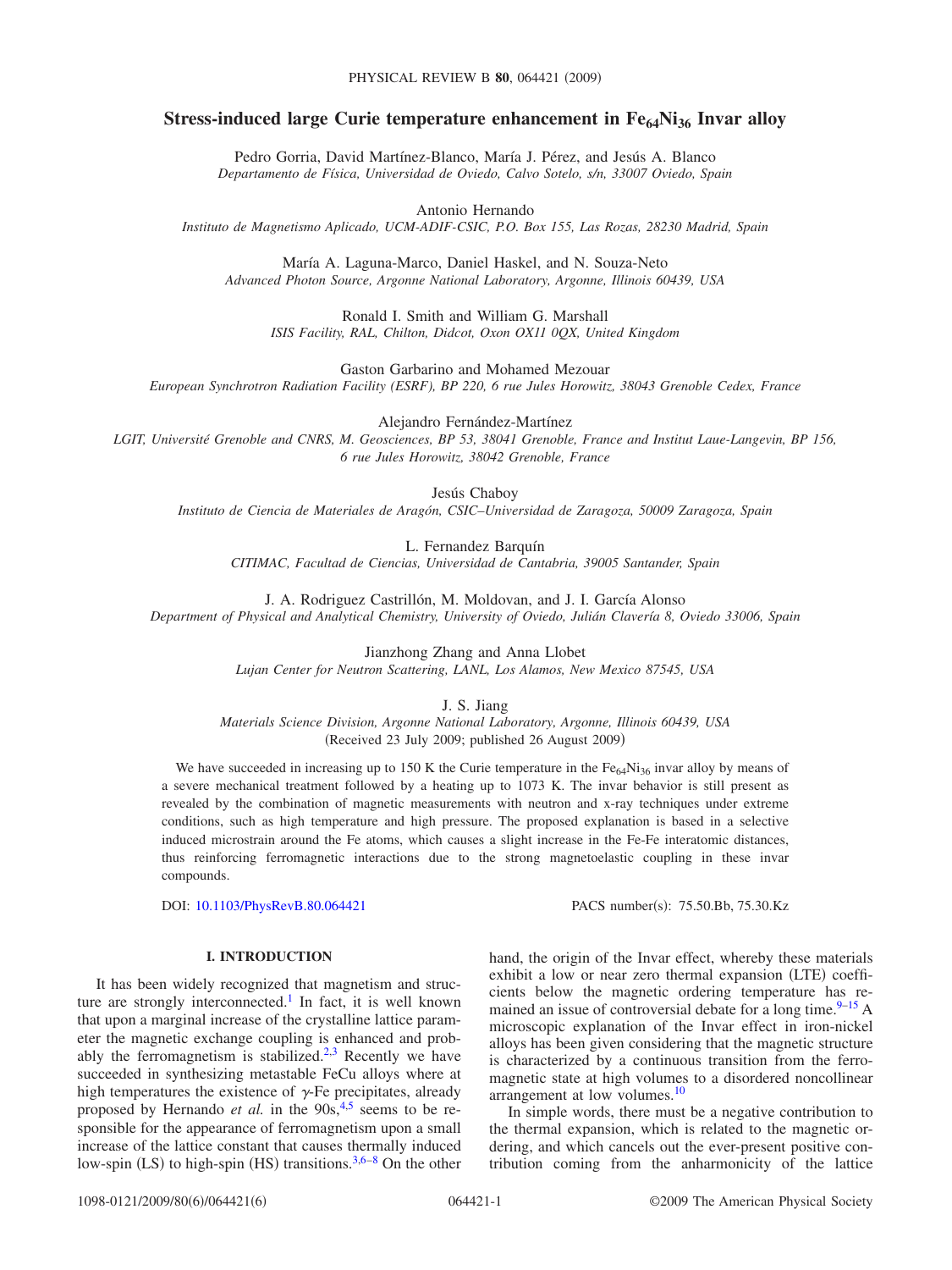### **Stress-induced large Curie temperature enhancement in Fe<sub>64</sub>Ni<sub>36</sub> Invar alloy**

Pedro Gorria, David Martínez-Blanco, María J. Pérez, and Jesús A. Blanco *Departamento de Física, Universidad de Oviedo, Calvo Sotelo, s/n, 33007 Oviedo, Spain*

Antonio Hernando

*Instituto de Magnetismo Aplicado, UCM-ADIF-CSIC, P.O. Box 155, Las Rozas, 28230 Madrid, Spain*

María A. Laguna-Marco, Daniel Haskel, and N. Souza-Neto *Advanced Photon Source, Argonne National Laboratory, Argonne, Illinois 60439, USA*

Ronald I. Smith and William G. Marshall *ISIS Facility, RAL, Chilton, Didcot, Oxon OX11 0QX, United Kingdom*

Gaston Garbarino and Mohamed Mezouar

*European Synchrotron Radiation Facility (ESRF), BP 220, 6 rue Jules Horowitz, 38043 Grenoble Cedex, France*

Alejandro Fernández-Martínez

*LGIT, Université Grenoble and CNRS, M. Geosciences, BP 53, 38041 Grenoble, France and Institut Laue-Langevin, BP 156, 6 rue Jules Horowitz, 38042 Grenoble, France*

Jesús Chaboy

*Instituto de Ciencia de Materiales de Aragón, CSIC–Universidad de Zaragoza, 50009 Zaragoza, Spain*

L. Fernandez Barquín *CITIMAC, Facultad de Ciencias, Universidad de Cantabria, 39005 Santander, Spain*

J. A. Rodriguez Castrillón, M. Moldovan, and J. I. García Alonso *Department of Physical and Analytical Chemistry, University of Oviedo, Julián Clavería 8, Oviedo 33006, Spain*

> Jianzhong Zhang and Anna Llobet *Lujan Center for Neutron Scattering, LANL, Los Alamos, New Mexico 87545, USA*

> > J. S. Jiang

*Materials Science Division, Argonne National Laboratory, Argonne, Illinois 60439, USA* (Received 23 July 2009; published 26 August 2009)

We have succeeded in increasing up to 150 K the Curie temperature in the  $Fe<sub>64</sub>Ni<sub>36</sub>$  invar alloy by means of a severe mechanical treatment followed by a heating up to 1073 K. The invar behavior is still present as revealed by the combination of magnetic measurements with neutron and x-ray techniques under extreme conditions, such as high temperature and high pressure. The proposed explanation is based in a selective induced microstrain around the Fe atoms, which causes a slight increase in the Fe-Fe interatomic distances, thus reinforcing ferromagnetic interactions due to the strong magnetoelastic coupling in these invar compounds.

DOI: [10.1103/PhysRevB.80.064421](http://dx.doi.org/10.1103/PhysRevB.80.064421)

PACS number(s): 75.50.Bb, 75.30.Kz

#### **I. INTRODUCTION**

It has been widely recognized that magnetism and structure are strongly interconnected.<sup>1</sup> In fact, it is well known that upon a marginal increase of the crystalline lattice parameter the magnetic exchange coupling is enhanced and probably the ferromagnetism is stabilized.<sup>2,3</sup> Recently we have succeeded in synthesizing metastable FeCu alloys where at high temperatures the existence of  $\gamma$ -Fe precipitates, already proposed by Hernando *et al.* in the 90s,<sup>4,5</sup> seems to be responsible for the appearance of ferromagnetism upon a small increase of the lattice constant that causes thermally induced low-spin (LS) to high-spin (HS) transitions.<sup>3,6–8</sup> On the other

hand, the origin of the Invar effect, whereby these materials exhibit a low or near zero thermal expansion (LTE) coefficients below the magnetic ordering temperature has remained an issue of controversial debate for a long time. $9-15$  A microscopic explanation of the Invar effect in iron-nickel alloys has been given considering that the magnetic structure is characterized by a continuous transition from the ferromagnetic state at high volumes to a disordered noncollinear arrangement at low volumes.10

In simple words, there must be a negative contribution to the thermal expansion, which is related to the magnetic ordering, and which cancels out the ever-present positive contribution coming from the anharmonicity of the lattice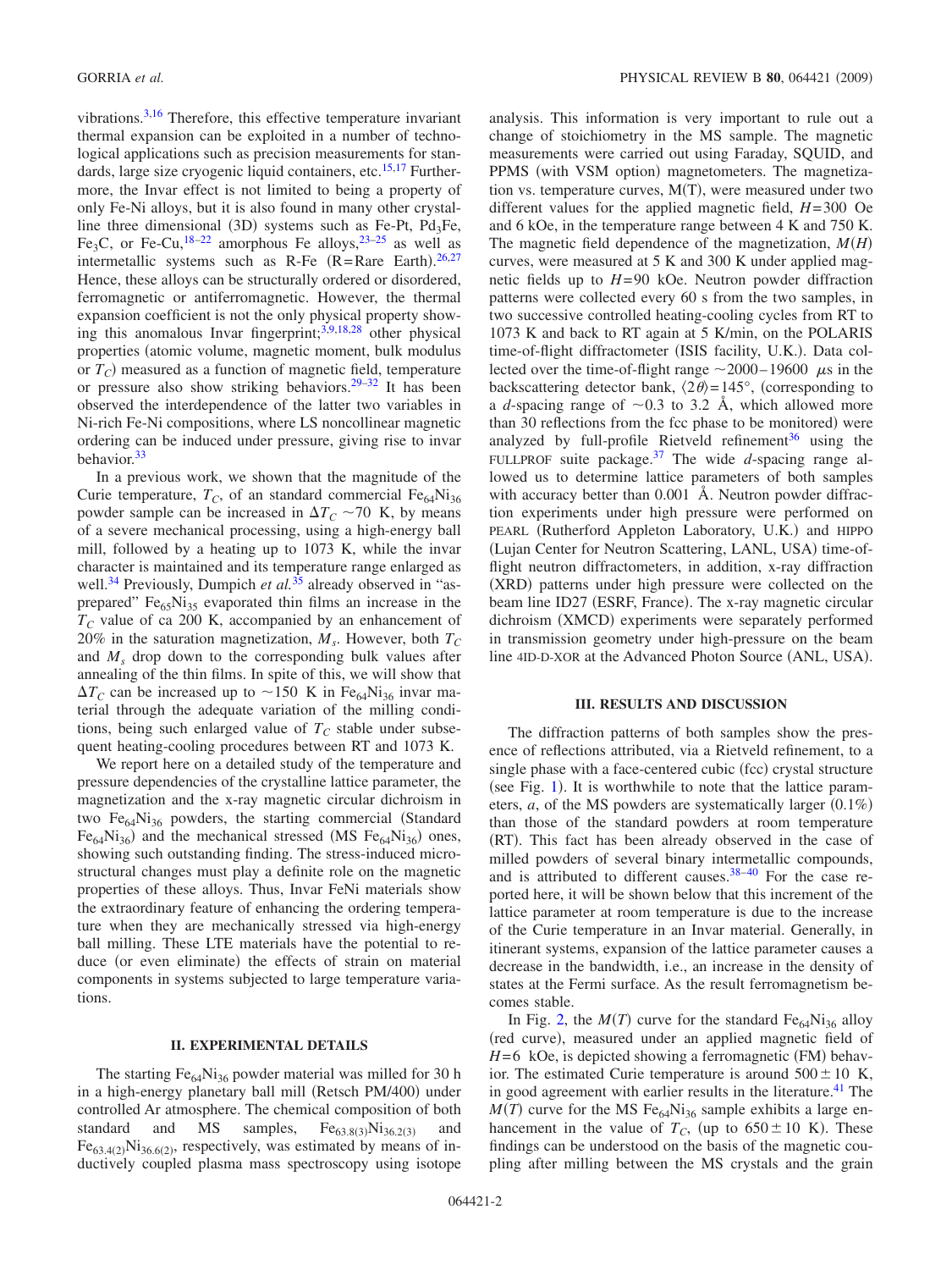vibrations.3,16 Therefore, this effective temperature invariant thermal expansion can be exploited in a number of technological applications such as precision measurements for standards, large size cryogenic liquid containers, etc.<sup>15,17</sup> Furthermore, the Invar effect is not limited to being a property of only Fe-Ni alloys, but it is also found in many other crystalline three dimensional (3D) systems such as Fe-Pt, Pd<sub>3</sub>Fe, Fe<sub>3</sub>C, or Fe-Cu,<sup>18-22</sup> amorphous Fe alloys,<sup>23-25</sup> as well as intermetallic systems such as R-Fe  $(R=Rare Earth).^{26,27}$ Hence, these alloys can be structurally ordered or disordered, ferromagnetic or antiferromagnetic. However, the thermal expansion coefficient is not the only physical property showing this anomalous Invar fingerprint; $3,9,18,28$  other physical properties (atomic volume, magnetic moment, bulk modulus or  $T_C$ ) measured as a function of magnetic field, temperature or pressure also show striking behaviors.<sup>29–32</sup> It has been observed the interdependence of the latter two variables in Ni-rich Fe-Ni compositions, where LS noncollinear magnetic ordering can be induced under pressure, giving rise to invar behavior.33

In a previous work, we shown that the magnitude of the Curie temperature,  $T_c$ , of an standard commercial  $Fe_{64}Ni_{36}$ powder sample can be increased in  $\Delta T_C \sim 70$  K, by means of a severe mechanical processing, using a high-energy ball mill, followed by a heating up to 1073 K, while the invar character is maintained and its temperature range enlarged as well.<sup>34</sup> Previously, Dumpich *et al.*<sup>35</sup> already observed in "asprepared"  $Fe<sub>65</sub>Ni<sub>35</sub>$  evaporated thin films an increase in the  $T_c$  value of ca 200 K, accompanied by an enhancement of 20% in the saturation magnetization,  $M_s$ . However, both  $T_c$ and *Ms* drop down to the corresponding bulk values after annealing of the thin films. In spite of this, we will show that  $\Delta T_C$  can be increased up to  $\sim$ 150 K in Fe<sub>64</sub>Ni<sub>36</sub> invar material through the adequate variation of the milling conditions, being such enlarged value of  $T_c$  stable under subsequent heating-cooling procedures between RT and 1073 K.

We report here on a detailed study of the temperature and pressure dependencies of the crystalline lattice parameter, the magnetization and the x-ray magnetic circular dichroism in two  $Fe<sub>64</sub>Ni<sub>36</sub>$  powders, the starting commercial (Standard  $Fe_{64}Ni_{36}$ ) and the mechanical stressed (MS  $Fe_{64}Ni_{36}$ ) ones, showing such outstanding finding. The stress-induced microstructural changes must play a definite role on the magnetic properties of these alloys. Thus, Invar FeNi materials show the extraordinary feature of enhancing the ordering temperature when they are mechanically stressed via high-energy ball milling. These LTE materials have the potential to reduce (or even eliminate) the effects of strain on material components in systems subjected to large temperature variations.

#### **II. EXPERIMENTAL DETAILS**

The starting  $Fe_{64}Ni_{36}$  powder material was milled for 30 h in a high-energy planetary ball mill (Retsch PM/400) under controlled Ar atmosphere. The chemical composition of both standard and MS samples,  $Fe_{63.8(3)}$ Ni<sub>36.2(3)</sub> and and MS samples,  $Fe_{63.8(3)}Ni_{36.2(3)}$  and  $Fe_{63.4(2)}Ni_{36.6(2)}$ , respectively, was estimated by means of inductively coupled plasma mass spectroscopy using isotope analysis. This information is very important to rule out a change of stoichiometry in the MS sample. The magnetic measurements were carried out using Faraday, SQUID, and PPMS (with VSM option) magnetometers. The magnetization vs. temperature curves, M(T), were measured under two different values for the applied magnetic field, *H*=300 Oe and 6 kOe, in the temperature range between 4 K and 750 K. The magnetic field dependence of the magnetization, *MH* curves, were measured at 5 K and 300 K under applied magnetic fields up to *H*=90 kOe. Neutron powder diffraction patterns were collected every 60 s from the two samples, in two successive controlled heating-cooling cycles from RT to 1073 K and back to RT again at 5 K/min, on the POLARIS time-of-flight diffractometer (ISIS facility, U.K.). Data collected over the time-of-flight range  $\sim$  2000–19600  $\mu$ s in the backscattering detector bank,  $\langle 2\theta \rangle = 145^\circ$ , (corresponding to a *d*-spacing range of  $\sim$ 0.3 to 3.2 Å, which allowed more than 30 reflections from the fcc phase to be monitored) were analyzed by full-profile Rietveld refinement<sup>36</sup> using the FULLPROF suite package.37 The wide *d*-spacing range allowed us to determine lattice parameters of both samples with accuracy better than  $0.001$  Å. Neutron powder diffraction experiments under high pressure were performed on PEARL (Rutherford Appleton Laboratory, U.K.) and HIPPO (Lujan Center for Neutron Scattering, LANL, USA) time-offlight neutron diffractometers, in addition, x-ray diffraction (XRD) patterns under high pressure were collected on the beam line ID27 (ESRF, France). The x-ray magnetic circular dichroism (XMCD) experiments were separately performed in transmission geometry under high-pressure on the beam line 4ID-D-XOR at the Advanced Photon Source (ANL, USA).

#### **III. RESULTS AND DISCUSSION**

The diffraction patterns of both samples show the presence of reflections attributed, via a Rietveld refinement, to a single phase with a face-centered cubic (fcc) crystal structure (see Fig. 1). It is worthwhile to note that the lattice parameters,  $a$ , of the MS powders are systematically larger  $(0.1\%)$ than those of the standard powders at room temperature (RT). This fact has been already observed in the case of milled powders of several binary intermetallic compounds, and is attributed to different causes.<sup>38-40</sup> For the case reported here, it will be shown below that this increment of the lattice parameter at room temperature is due to the increase of the Curie temperature in an Invar material. Generally, in itinerant systems, expansion of the lattice parameter causes a decrease in the bandwidth, i.e., an increase in the density of states at the Fermi surface. As the result ferromagnetism becomes stable.

In Fig. 2, the  $M(T)$  curve for the standard Fe<sub>64</sub>Ni<sub>36</sub> alloy (red curve), measured under an applied magnetic field of  $H=6$  kOe, is depicted showing a ferromagnetic (FM) behavior. The estimated Curie temperature is around  $500 \pm 10$  K, in good agreement with earlier results in the literature.<sup>41</sup> The  $M(T)$  curve for the MS Fe<sub>64</sub>Ni<sub>36</sub> sample exhibits a large enhancement in the value of  $T_C$ , (up to  $650 \pm 10$  K). These findings can be understood on the basis of the magnetic coupling after milling between the MS crystals and the grain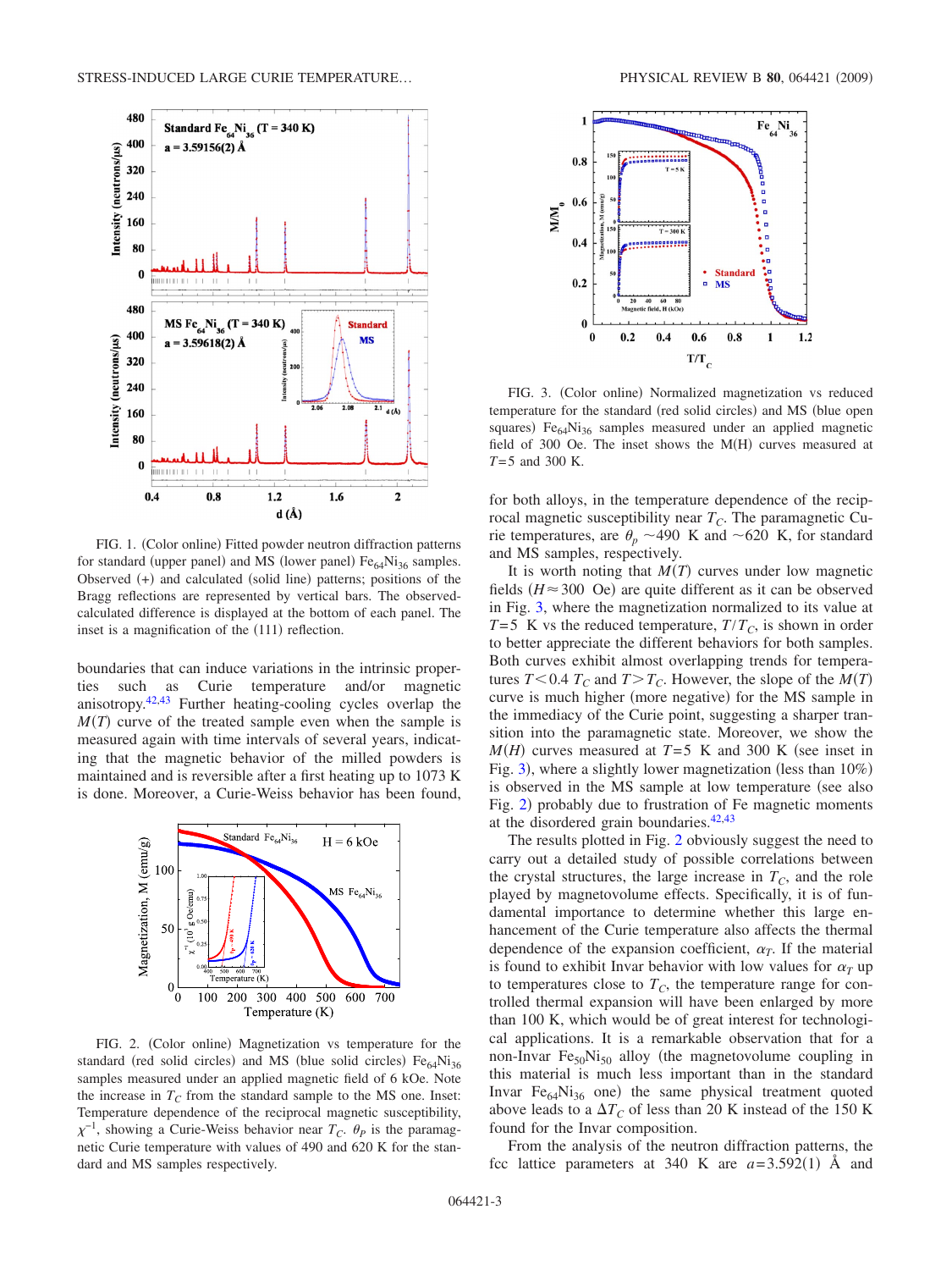

FIG. 1. (Color online) Fitted powder neutron diffraction patterns for standard (upper panel) and MS (lower panel)  $Fe<sub>64</sub>Ni<sub>36</sub>$  samples. Observed (+) and calculated (solid line) patterns; positions of the Bragg reflections are represented by vertical bars. The observedcalculated difference is displayed at the bottom of each panel. The inset is a magnification of the (111) reflection.

boundaries that can induce variations in the intrinsic properties such as Curie temperature and/or magnetic anisotropy.42,43 Further heating-cooling cycles overlap the  $M(T)$  curve of the treated sample even when the sample is measured again with time intervals of several years, indicating that the magnetic behavior of the milled powders is maintained and is reversible after a first heating up to 1073 K is done. Moreover, a Curie-Weiss behavior has been found,



FIG. 2. (Color online) Magnetization vs temperature for the standard (red solid circles) and MS (blue solid circles) Fe<sub>64</sub>Ni<sub>36</sub> samples measured under an applied magnetic field of 6 kOe. Note the increase in  $T_c$  from the standard sample to the MS one. Inset: Temperature dependence of the reciprocal magnetic susceptibility,  $\chi^{-1}$ , showing a Curie-Weiss behavior near  $T_c$ .  $\theta_p$  is the paramagnetic Curie temperature with values of 490 and 620 K for the standard and MS samples respectively.



FIG. 3. (Color online) Normalized magnetization vs reduced temperature for the standard (red solid circles) and MS (blue open squares) Fe<sub>64</sub>Ni<sub>36</sub> samples measured under an applied magnetic field of 300 Oe. The inset shows the  $M(H)$  curves measured at *T*=5 and 300 K.

for both alloys, in the temperature dependence of the reciprocal magnetic susceptibility near  $T_c$ . The paramagnetic Curie temperatures, are  $\theta_p \sim 490 \text{ K}$  and  $\sim 620 \text{ K}$ , for standard and MS samples, respectively.

It is worth noting that  $M(T)$  curves under low magnetic fields  $(H \approx 300 \text{ Oe})$  are quite different as it can be observed in Fig. 3, where the magnetization normalized to its value at  $T=5$  K vs the reduced temperature,  $T/T_c$ , is shown in order to better appreciate the different behaviors for both samples. Both curves exhibit almost overlapping trends for temperatures  $T < 0.4$   $T_C$  and  $T > T_C$ . However, the slope of the  $M(T)$ curve is much higher (more negative) for the MS sample in the immediacy of the Curie point, suggesting a sharper transition into the paramagnetic state. Moreover, we show the  $M(H)$  curves measured at  $T=5$  K and 300 K (see inset in Fig. 3), where a slightly lower magnetization (less than 10%) is observed in the MS sample at low temperature (see also Fig. 2) probably due to frustration of Fe magnetic moments at the disordered grain boundaries. $42,43$ 

The results plotted in Fig. 2 obviously suggest the need to carry out a detailed study of possible correlations between the crystal structures, the large increase in  $T_c$ , and the role played by magnetovolume effects. Specifically, it is of fundamental importance to determine whether this large enhancement of the Curie temperature also affects the thermal dependence of the expansion coefficient,  $\alpha_T$ . If the material is found to exhibit Invar behavior with low values for  $\alpha_T$  up to temperatures close to  $T_c$ , the temperature range for controlled thermal expansion will have been enlarged by more than 100 K, which would be of great interest for technological applications. It is a remarkable observation that for a non-Invar  $Fe<sub>50</sub>Ni<sub>50</sub>$  alloy (the magnetovolume coupling in this material is much less important than in the standard Invar  $Fe_{64}Ni_{36}$  one) the same physical treatment quoted above leads to a  $\Delta T_C$  of less than 20 K instead of the 150 K found for the Invar composition.

From the analysis of the neutron diffraction patterns, the fcc lattice parameters at 340 K are  $a=3.592(1)$  Å and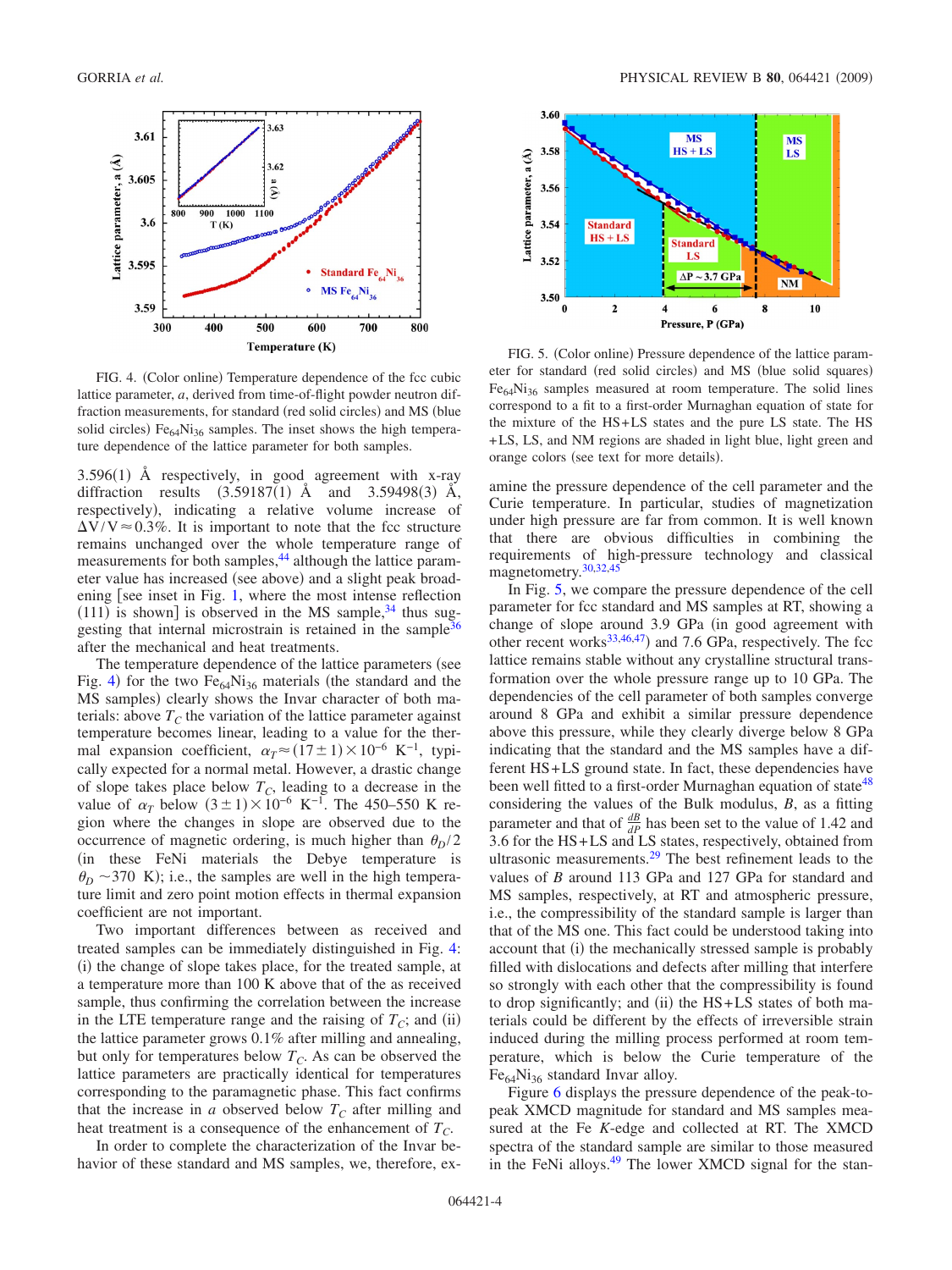

FIG. 4. (Color online) Temperature dependence of the fcc cubic lattice parameter, *a*, derived from time-of-flight powder neutron diffraction measurements, for standard (red solid circles) and MS (blue solid circles)  $Fe_{64}Ni_{36}$  samples. The inset shows the high temperature dependence of the lattice parameter for both samples.

 $3.596(1)$  Å respectively, in good agreement with x-ray diffraction results  $(3.59187(1)$  Å and  $3.59498(3)$  Å, respectively), indicating a relative volume increase of  $\Delta V/V \approx 0.3\%$ . It is important to note that the fcc structure remains unchanged over the whole temperature range of measurements for both samples,<sup>44</sup> although the lattice parameter value has increased (see above) and a slight peak broadening [see inset in Fig. 1, where the most intense reflection  $(111)$  is shown] is observed in the MS sample,<sup>34</sup> thus suggesting that internal microstrain is retained in the sample $36$ after the mechanical and heat treatments.

The temperature dependence of the lattice parameters (see Fig. 4) for the two  $Fe<sub>64</sub>Ni<sub>36</sub>$  materials (the standard and the MS samples) clearly shows the Invar character of both materials: above  $T_c$  the variation of the lattice parameter against temperature becomes linear, leading to a value for the thermal expansion coefficient,  $\alpha_T \approx (17 \pm 1) \times 10^{-6} \text{ K}^{-1}$ , typically expected for a normal metal. However, a drastic change of slope takes place below  $T_c$ , leading to a decrease in the value of  $\alpha_T$  below  $(3 \pm 1) \times 10^{-6}$  K<sup>-1</sup>. The 450–550 K region where the changes in slope are observed due to the occurrence of magnetic ordering, is much higher than  $\theta_p/2$ in these FeNi materials the Debye temperature is  $\theta_D \sim$ 370 K); i.e., the samples are well in the high temperature limit and zero point motion effects in thermal expansion coefficient are not important.

Two important differences between as received and treated samples can be immediately distinguished in Fig. 4: (i) the change of slope takes place, for the treated sample, at a temperature more than 100 K above that of the as received sample, thus confirming the correlation between the increase in the LTE temperature range and the raising of  $T_C$ ; and (ii) the lattice parameter grows 0.1% after milling and annealing, but only for temperatures below  $T_c$ . As can be observed the lattice parameters are practically identical for temperatures corresponding to the paramagnetic phase. This fact confirms that the increase in  $a$  observed below  $T_c$  after milling and heat treatment is a consequence of the enhancement of  $T_C$ .

In order to complete the characterization of the Invar behavior of these standard and MS samples, we, therefore, ex-



FIG. 5. (Color online) Pressure dependence of the lattice parameter for standard (red solid circles) and MS (blue solid squares)  $Fe<sub>64</sub>Ni<sub>36</sub>$  samples measured at room temperature. The solid lines correspond to a fit to a first-order Murnaghan equation of state for the mixture of the HS+LS states and the pure LS state. The HS +LS, LS, and NM regions are shaded in light blue, light green and orange colors (see text for more details).

amine the pressure dependence of the cell parameter and the Curie temperature. In particular, studies of magnetization under high pressure are far from common. It is well known that there are obvious difficulties in combining the requirements of high-pressure technology and classical magnetometry.30,32,45

In Fig. 5, we compare the pressure dependence of the cell parameter for fcc standard and MS samples at RT, showing a change of slope around 3.9 GPa (in good agreement with other recent works $33,46,47$  and 7.6 GPa, respectively. The fcc lattice remains stable without any crystalline structural transformation over the whole pressure range up to 10 GPa. The dependencies of the cell parameter of both samples converge around 8 GPa and exhibit a similar pressure dependence above this pressure, while they clearly diverge below 8 GPa indicating that the standard and the MS samples have a different HS+LS ground state. In fact, these dependencies have been well fitted to a first-order Murnaghan equation of state<sup>48</sup> considering the values of the Bulk modulus, *B*, as a fitting parameter and that of  $\frac{dB}{dP}$  has been set to the value of 1.42 and 3.6 for the HS+LS and LS states, respectively, obtained from ultrasonic measurements.29 The best refinement leads to the values of *B* around 113 GPa and 127 GPa for standard and MS samples, respectively, at RT and atmospheric pressure, i.e., the compressibility of the standard sample is larger than that of the MS one. This fact could be understood taking into account that (i) the mechanically stressed sample is probably filled with dislocations and defects after milling that interfere so strongly with each other that the compressibility is found to drop significantly; and (ii) the HS+LS states of both materials could be different by the effects of irreversible strain induced during the milling process performed at room temperature, which is below the Curie temperature of the  $Fe<sub>64</sub>Ni<sub>36</sub>$  standard Invar alloy.

Figure 6 displays the pressure dependence of the peak-topeak XMCD magnitude for standard and MS samples measured at the Fe *K*-edge and collected at RT. The XMCD spectra of the standard sample are similar to those measured in the FeNi alloys. $49$  The lower XMCD signal for the stan-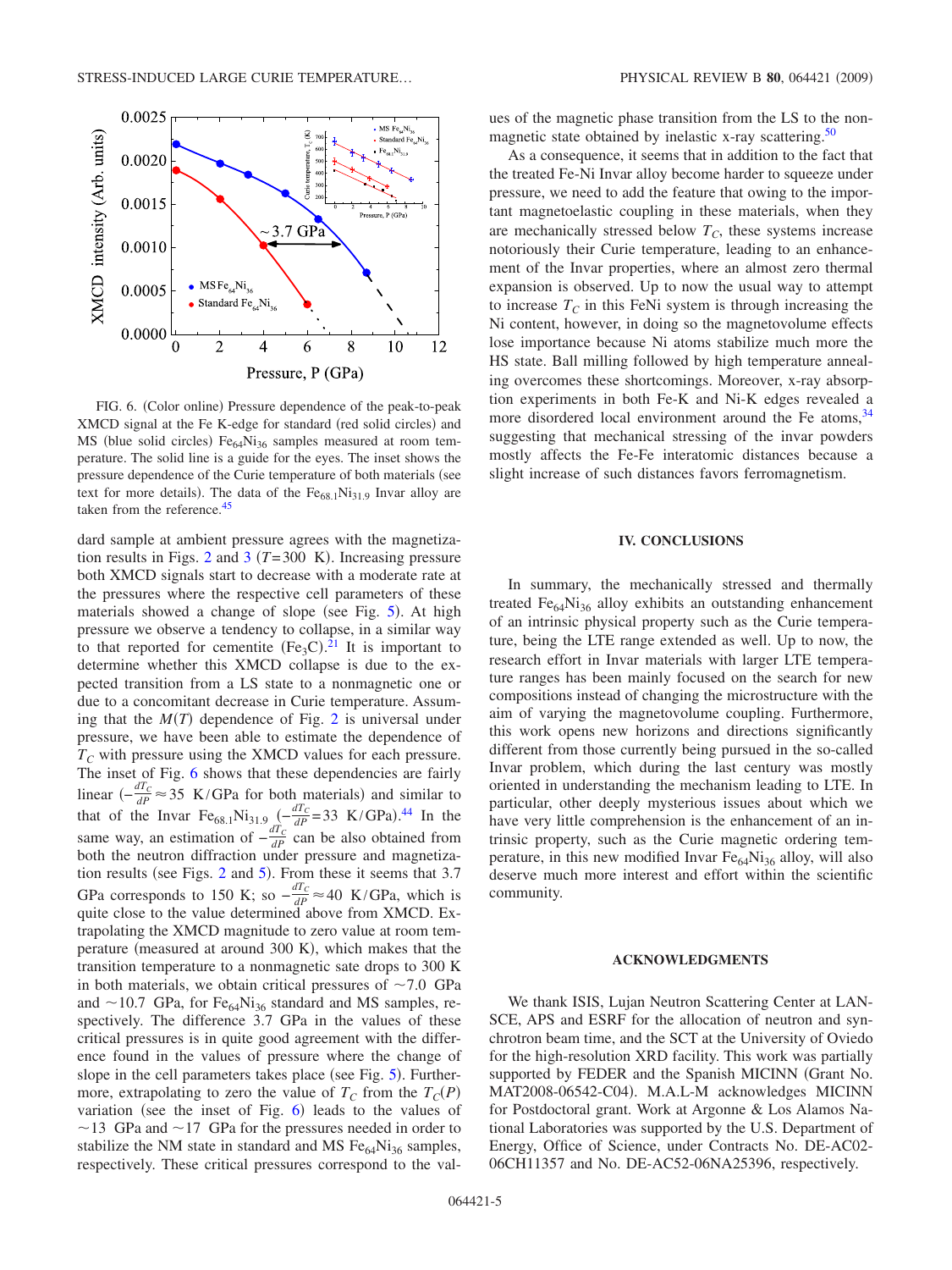

FIG. 6. (Color online) Pressure dependence of the peak-to-peak XMCD signal at the Fe K-edge for standard (red solid circles) and MS (blue solid circles)  $Fe<sub>64</sub>Ni<sub>36</sub>$  samples measured at room temperature. The solid line is a guide for the eyes. The inset shows the pressure dependence of the Curie temperature of both materials (see text for more details). The data of the  $Fe_{68.1}Ni_{31.9}$  Invar alloy are taken from the reference.<sup>45</sup>

dard sample at ambient pressure agrees with the magnetization results in Figs. 2 and 3  $(T=300 \text{ K})$ . Increasing pressure both XMCD signals start to decrease with a moderate rate at the pressures where the respective cell parameters of these materials showed a change of slope (see Fig. 5). At high pressure we observe a tendency to collapse, in a similar way to that reported for cementite  $(Fe_3C)^{21}$  It is important to determine whether this XMCD collapse is due to the expected transition from a LS state to a nonmagnetic one or due to a concomitant decrease in Curie temperature. Assuming that the  $M(T)$  dependence of Fig. 2 is universal under pressure, we have been able to estimate the dependence of  $T<sub>C</sub>$  with pressure using the XMCD values for each pressure. The inset of Fig. 6 shows that these dependencies are fairly linear  $\left(-\frac{dT_C}{dP} \approx 35 \text{ K/GPa}$  for both materials) and similar to that of the Invar Fe<sub>68.1</sub>Ni<sub>31.9</sub>  $\int_{a}^{a} \frac{dT_c}{dP} = 33$  K/GPa).<sup>44</sup> In the same way, an estimation of  $-\frac{dT_c}{dP}$  can be also obtained from both the neutron diffraction under pressure and magnetization results (see Figs.  $2$  and  $5$ ). From these it seems that  $3.7$ GPa corresponds to 150 K; so  $-\frac{dT_C}{dP} \approx 40$  K/GPa, which is quite close to the value determined above from XMCD. Extrapolating the XMCD magnitude to zero value at room temperature (measured at around 300 K), which makes that the transition temperature to a nonmagnetic sate drops to 300 K in both materials, we obtain critical pressures of  $\sim$  7.0 GPa and  $\sim$  10.7 GPa, for Fe<sub>64</sub>Ni<sub>36</sub> standard and MS samples, respectively. The difference 3.7 GPa in the values of these critical pressures is in quite good agreement with the difference found in the values of pressure where the change of slope in the cell parameters takes place (see Fig. 5). Furthermore, extrapolating to zero the value of  $T_c$  from the  $T_c(P)$ variation (see the inset of Fig.  $6$ ) leads to the values of  $\sim$  13 GPa and  $\sim$  17 GPa for the pressures needed in order to stabilize the NM state in standard and MS  $Fe<sub>64</sub>Ni<sub>36</sub>$  samples, respectively. These critical pressures correspond to the values of the magnetic phase transition from the LS to the nonmagnetic state obtained by inelastic x-ray scattering.<sup>50</sup>

As a consequence, it seems that in addition to the fact that the treated Fe-Ni Invar alloy become harder to squeeze under pressure, we need to add the feature that owing to the important magnetoelastic coupling in these materials, when they are mechanically stressed below  $T_c$ , these systems increase notoriously their Curie temperature, leading to an enhancement of the Invar properties, where an almost zero thermal expansion is observed. Up to now the usual way to attempt to increase  $T_c$  in this FeNi system is through increasing the Ni content, however, in doing so the magnetovolume effects lose importance because Ni atoms stabilize much more the HS state. Ball milling followed by high temperature annealing overcomes these shortcomings. Moreover, x-ray absorption experiments in both Fe-K and Ni-K edges revealed a more disordered local environment around the Fe atoms,  $34$ suggesting that mechanical stressing of the invar powders mostly affects the Fe-Fe interatomic distances because a slight increase of such distances favors ferromagnetism.

#### **IV. CONCLUSIONS**

In summary, the mechanically stressed and thermally treated  $Fe<sub>64</sub>Ni<sub>36</sub>$  alloy exhibits an outstanding enhancement of an intrinsic physical property such as the Curie temperature, being the LTE range extended as well. Up to now, the research effort in Invar materials with larger LTE temperature ranges has been mainly focused on the search for new compositions instead of changing the microstructure with the aim of varying the magnetovolume coupling. Furthermore, this work opens new horizons and directions significantly different from those currently being pursued in the so-called Invar problem, which during the last century was mostly oriented in understanding the mechanism leading to LTE. In particular, other deeply mysterious issues about which we have very little comprehension is the enhancement of an intrinsic property, such as the Curie magnetic ordering temperature, in this new modified Invar  $Fe<sub>64</sub>Ni<sub>36</sub>$  alloy, will also deserve much more interest and effort within the scientific community.

#### **ACKNOWLEDGMENTS**

We thank ISIS, Lujan Neutron Scattering Center at LAN-SCE, APS and ESRF for the allocation of neutron and synchrotron beam time, and the SCT at the University of Oviedo for the high-resolution XRD facility. This work was partially supported by FEDER and the Spanish MICINN (Grant No. MAT2008-06542-C04). M.A.L-M acknowledges MICINN for Postdoctoral grant. Work at Argonne & Los Alamos National Laboratories was supported by the U.S. Department of Energy, Office of Science, under Contracts No. DE-AC02- 06CH11357 and No. DE-AC52-06NA25396, respectively.